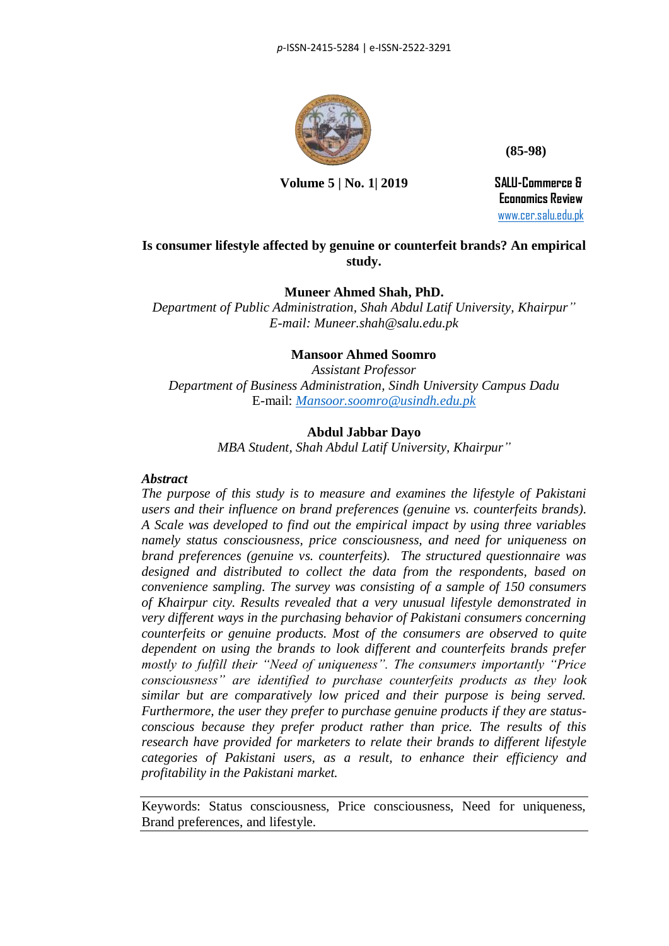

 **(85-98)** 

 **Volume 5 | No. 1| 2019 SALU-Commerce &**

 **Economics Review** [www.cer.salu.edu.pk](http://www.cer.salu.edu.pk/)

# **Is consumer lifestyle affected by genuine or counterfeit brands? An empirical study.**

# **Muneer Ahmed Shah, PhD.**

*Department of Public Administration, Shah Abdul Latif University, Khairpur" E-mail: Muneer.shah@salu.edu.pk*

# **Mansoor Ahmed Soomro**

*Assistant Professor Department of Business Administration, Sindh University Campus Dadu* E-mail: *[Mansoor.soomro@usindh.edu.pk](mailto:Mansoor.soomro@usindh.edu.pk)*

# **Abdul Jabbar Dayo**

*MBA Student, Shah Abdul Latif University, Khairpur"*

## *Abstract*

*The purpose of this study is to measure and examines the lifestyle of Pakistani users and their influence on brand preferences (genuine vs. counterfeits brands). A Scale was developed to find out the empirical impact by using three variables namely status consciousness, price consciousness, and need for uniqueness on brand preferences (genuine vs. counterfeits). The structured questionnaire was designed and distributed to collect the data from the respondents, based on convenience sampling. The survey was consisting of a sample of 150 consumers of Khairpur city. Results revealed that a very unusual lifestyle demonstrated in very different ways in the purchasing behavior of Pakistani consumers concerning counterfeits or genuine products. Most of the consumers are observed to quite dependent on using the brands to look different and counterfeits brands prefer mostly to fulfill their "Need of uniqueness". The consumers importantly "Price consciousness" are identified to purchase counterfeits products as they look similar but are comparatively low priced and their purpose is being served. Furthermore, the user they prefer to purchase genuine products if they are statusconscious because they prefer product rather than price. The results of this research have provided for marketers to relate their brands to different lifestyle categories of Pakistani users, as a result, to enhance their efficiency and profitability in the Pakistani market.*

Keywords: Status consciousness, Price consciousness, Need for uniqueness, Brand preferences, and lifestyle.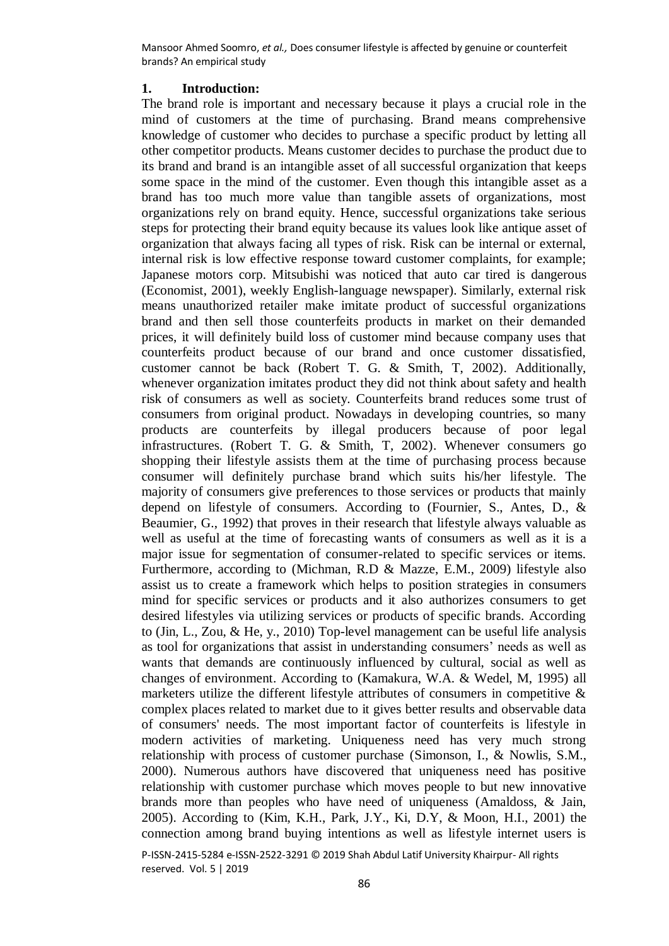## **1. Introduction:**

The brand role is important and necessary because it plays a crucial role in the mind of customers at the time of purchasing. Brand means comprehensive knowledge of customer who decides to purchase a specific product by letting all other competitor products. Means customer decides to purchase the product due to its brand and brand is an intangible asset of all successful organization that keeps some space in the mind of the customer. Even though this intangible asset as a brand has too much more value than tangible assets of organizations, most organizations rely on brand equity. Hence, successful organizations take serious steps for protecting their brand equity because its values look like antique asset of organization that always facing all types of risk. Risk can be internal or external, internal risk is low effective response toward customer complaints, for example; Japanese motors corp. Mitsubishi was noticed that auto car tired is dangerous (Economist, 2001), weekly English-language newspaper). Similarly, external risk means unauthorized retailer make imitate product of successful organizations brand and then sell those counterfeits products in market on their demanded prices, it will definitely build loss of customer mind because company uses that counterfeits product because of our brand and once customer dissatisfied, customer cannot be back (Robert T. G. & Smith, T, 2002). Additionally, whenever organization imitates product they did not think about safety and health risk of consumers as well as society. Counterfeits brand reduces some trust of consumers from original product. Nowadays in developing countries, so many products are counterfeits by illegal producers because of poor legal infrastructures. (Robert T. G. & Smith, T, 2002). Whenever consumers go shopping their lifestyle assists them at the time of purchasing process because consumer will definitely purchase brand which suits his/her lifestyle. The majority of consumers give preferences to those services or products that mainly depend on lifestyle of consumers. According to (Fournier, S., Antes, D., & Beaumier, G., 1992) that proves in their research that lifestyle always valuable as well as useful at the time of forecasting wants of consumers as well as it is a major issue for segmentation of consumer-related to specific services or items. Furthermore, according to (Michman, R.D & Mazze, E.M., 2009) lifestyle also assist us to create a framework which helps to position strategies in consumers mind for specific services or products and it also authorizes consumers to get desired lifestyles via utilizing services or products of specific brands. According to (Jin, L., Zou, & He, y., 2010) Top-level management can be useful life analysis as tool for organizations that assist in understanding consumers' needs as well as wants that demands are continuously influenced by cultural, social as well as changes of environment. According to (Kamakura, W.A. & Wedel, M, 1995) all marketers utilize the different lifestyle attributes of consumers in competitive  $\&$ complex places related to market due to it gives better results and observable data of consumers' needs. The most important factor of counterfeits is lifestyle in modern activities of marketing. Uniqueness need has very much strong relationship with process of customer purchase (Simonson, I., & Nowlis, S.M., 2000). Numerous authors have discovered that uniqueness need has positive relationship with customer purchase which moves people to but new innovative brands more than peoples who have need of uniqueness (Amaldoss, & Jain, 2005). According to (Kim, K.H., Park, J.Y., Ki, D.Y, & Moon, H.I., 2001) the connection among brand buying intentions as well as lifestyle internet users is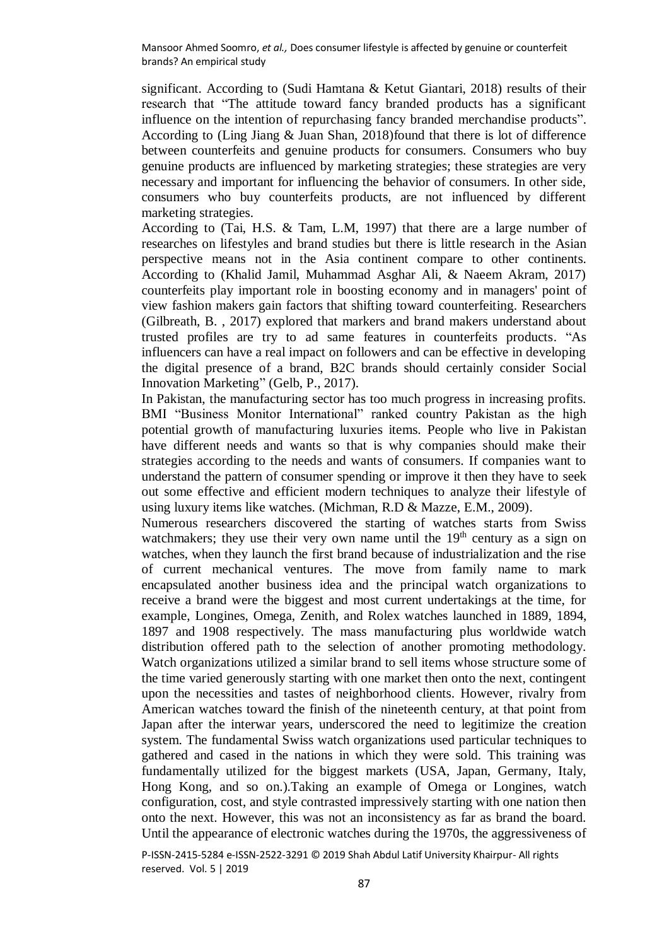significant. According to (Sudi Hamtana & Ketut Giantari, 2018) results of their research that "The attitude toward fancy branded products has a significant influence on the intention of repurchasing fancy branded merchandise products". According to (Ling Jiang & Juan Shan, 2018)found that there is lot of difference between counterfeits and genuine products for consumers. Consumers who buy genuine products are influenced by marketing strategies; these strategies are very necessary and important for influencing the behavior of consumers. In other side, consumers who buy counterfeits products, are not influenced by different marketing strategies.

According to (Tai, H.S. & Tam, L.M, 1997) that there are a large number of researches on lifestyles and brand studies but there is little research in the Asian perspective means not in the Asia continent compare to other continents. According to (Khalid Jamil, Muhammad Asghar Ali, & Naeem Akram, 2017) counterfeits play important role in boosting economy and in managers' point of view fashion makers gain factors that shifting toward counterfeiting. Researchers (Gilbreath, B. , 2017) explored that markers and brand makers understand about trusted profiles are try to ad same features in counterfeits products. "As influencers can have a real impact on followers and can be effective in developing the digital presence of a brand, B2C brands should certainly consider Social Innovation Marketing" (Gelb, P., 2017).

In Pakistan, the manufacturing sector has too much progress in increasing profits. BMI "Business Monitor International" ranked country Pakistan as the high potential growth of manufacturing luxuries items. People who live in Pakistan have different needs and wants so that is why companies should make their strategies according to the needs and wants of consumers. If companies want to understand the pattern of consumer spending or improve it then they have to seek out some effective and efficient modern techniques to analyze their lifestyle of using luxury items like watches. (Michman, R.D & Mazze, E.M., 2009).

Numerous researchers discovered the starting of watches starts from Swiss watchmakers; they use their very own name until the  $19<sup>th</sup>$  century as a sign on watches, when they launch the first brand because of industrialization and the rise of current mechanical ventures. The move from family name to mark encapsulated another business idea and the principal watch organizations to receive a brand were the biggest and most current undertakings at the time, for example, Longines, Omega, Zenith, and Rolex watches launched in 1889, 1894, 1897 and 1908 respectively. The mass manufacturing plus worldwide watch distribution offered path to the selection of another promoting methodology. Watch organizations utilized a similar brand to sell items whose structure some of the time varied generously starting with one market then onto the next, contingent upon the necessities and tastes of neighborhood clients. However, rivalry from American watches toward the finish of the nineteenth century, at that point from Japan after the interwar years, underscored the need to legitimize the creation system. The fundamental Swiss watch organizations used particular techniques to gathered and cased in the nations in which they were sold. This training was fundamentally utilized for the biggest markets (USA, Japan, Germany, Italy, Hong Kong, and so on.).Taking an example of Omega or Longines, watch configuration, cost, and style contrasted impressively starting with one nation then onto the next. However, this was not an inconsistency as far as brand the board. Until the appearance of electronic watches during the 1970s, the aggressiveness of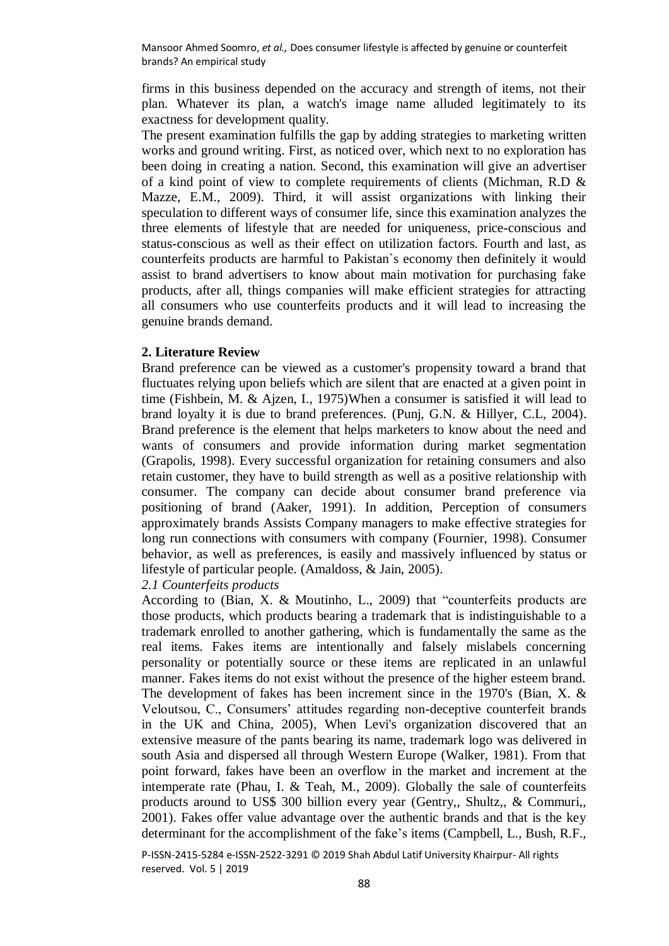firms in this business depended on the accuracy and strength of items, not their plan. Whatever its plan, a watch's image name alluded legitimately to its exactness for development quality.

The present examination fulfills the gap by adding strategies to marketing written works and ground writing. First, as noticed over, which next to no exploration has been doing in creating a nation. Second, this examination will give an advertiser of a kind point of view to complete requirements of clients (Michman, R.D & Mazze, E.M., 2009). Third, it will assist organizations with linking their speculation to different ways of consumer life, since this examination analyzes the three elements of lifestyle that are needed for uniqueness, price-conscious and status-conscious as well as their effect on utilization factors. Fourth and last, as counterfeits products are harmful to Pakistan`s economy then definitely it would assist to brand advertisers to know about main motivation for purchasing fake products, after all, things companies will make efficient strategies for attracting all consumers who use counterfeits products and it will lead to increasing the genuine brands demand.

### **2. Literature Review**

Brand preference can be viewed as a customer's propensity toward a brand that fluctuates relying upon beliefs which are silent that are enacted at a given point in time (Fishbein, M. & Ajzen, I., 1975)When a consumer is satisfied it will lead to brand loyalty it is due to brand preferences. (Punj, G.N. & Hillyer, C.L, 2004). Brand preference is the element that helps marketers to know about the need and wants of consumers and provide information during market segmentation (Grapolis, 1998). Every successful organization for retaining consumers and also retain customer, they have to build strength as well as a positive relationship with consumer. The company can decide about consumer brand preference via positioning of brand (Aaker, 1991). In addition, Perception of consumers approximately brands Assists Company managers to make effective strategies for long run connections with consumers with company (Fournier, 1998). Consumer behavior, as well as preferences, is easily and massively influenced by status or lifestyle of particular people. (Amaldoss, & Jain, 2005).

## *2.1 Counterfeits products*

According to (Bian, X. & Moutinho, L., 2009) that "counterfeits products are those products, which products bearing a trademark that is indistinguishable to a trademark enrolled to another gathering, which is fundamentally the same as the real items. Fakes items are intentionally and falsely mislabels concerning personality or potentially source or these items are replicated in an unlawful manner. Fakes items do not exist without the presence of the higher esteem brand. The development of fakes has been increment since in the 1970's (Bian, X. & Veloutsou, C., Consumers' attitudes regarding non-deceptive counterfeit brands in the UK and China, 2005), When Levi's organization discovered that an extensive measure of the pants bearing its name, trademark logo was delivered in south Asia and dispersed all through Western Europe (Walker, 1981). From that point forward, fakes have been an overflow in the market and increment at the intemperate rate (Phau, I. & Teah, M., 2009). Globally the sale of counterfeits products around to US\$ 300 billion every year (Gentry,, Shultz,, & Commuri,, 2001). Fakes offer value advantage over the authentic brands and that is the key determinant for the accomplishment of the fake's items (Campbell, L., Bush, R.F.,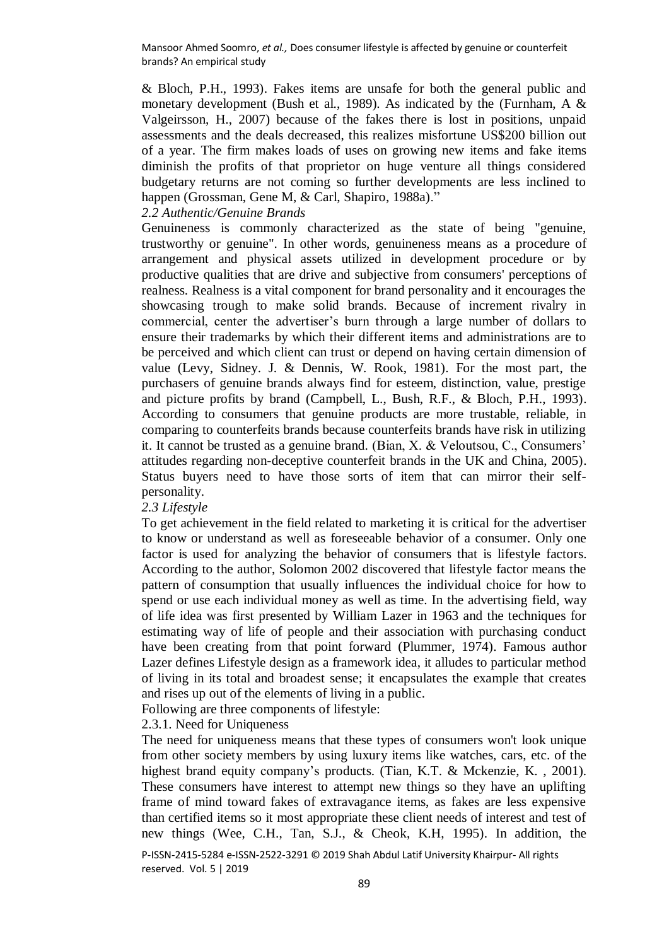& Bloch, P.H., 1993). Fakes items are unsafe for both the general public and monetary development (Bush et al., 1989). As indicated by the (Furnham, A & Valgeirsson, H., 2007) because of the fakes there is lost in positions, unpaid assessments and the deals decreased, this realizes misfortune US\$200 billion out of a year. The firm makes loads of uses on growing new items and fake items diminish the profits of that proprietor on huge venture all things considered budgetary returns are not coming so further developments are less inclined to happen (Grossman, Gene M, & Carl, Shapiro, 1988a)."

## *2.2 Authentic/Genuine Brands*

Genuineness is commonly characterized as the state of being "genuine, trustworthy or genuine". In other words, genuineness means as a procedure of arrangement and physical assets utilized in development procedure or by productive qualities that are drive and subjective from consumers' perceptions of realness. Realness is a vital component for brand personality and it encourages the showcasing trough to make solid brands. Because of increment rivalry in commercial, center the advertiser's burn through a large number of dollars to ensure their trademarks by which their different items and administrations are to be perceived and which client can trust or depend on having certain dimension of value (Levy, Sidney. J. & Dennis, W. Rook, 1981). For the most part, the purchasers of genuine brands always find for esteem, distinction, value, prestige and picture profits by brand (Campbell, L., Bush, R.F., & Bloch, P.H., 1993). According to consumers that genuine products are more trustable, reliable, in comparing to counterfeits brands because counterfeits brands have risk in utilizing it. It cannot be trusted as a genuine brand. (Bian, X. & Veloutsou, C., Consumers' attitudes regarding non-deceptive counterfeit brands in the UK and China, 2005). Status buyers need to have those sorts of item that can mirror their selfpersonality.

#### *2.3 Lifestyle*

To get achievement in the field related to marketing it is critical for the advertiser to know or understand as well as foreseeable behavior of a consumer. Only one factor is used for analyzing the behavior of consumers that is lifestyle factors. According to the author, Solomon 2002 discovered that lifestyle factor means the pattern of consumption that usually influences the individual choice for how to spend or use each individual money as well as time. In the advertising field, way of life idea was first presented by William Lazer in 1963 and the techniques for estimating way of life of people and their association with purchasing conduct have been creating from that point forward (Plummer, 1974). Famous author Lazer defines Lifestyle design as a framework idea, it alludes to particular method of living in its total and broadest sense; it encapsulates the example that creates and rises up out of the elements of living in a public.

Following are three components of lifestyle:

## 2.3.1. Need for Uniqueness

The need for uniqueness means that these types of consumers won't look unique from other society members by using luxury items like watches, cars, etc. of the highest brand equity company's products. (Tian, K.T. & Mckenzie, K., 2001). These consumers have interest to attempt new things so they have an uplifting frame of mind toward fakes of extravagance items, as fakes are less expensive than certified items so it most appropriate these client needs of interest and test of new things (Wee, C.H., Tan, S.J., & Cheok, K.H, 1995). In addition, the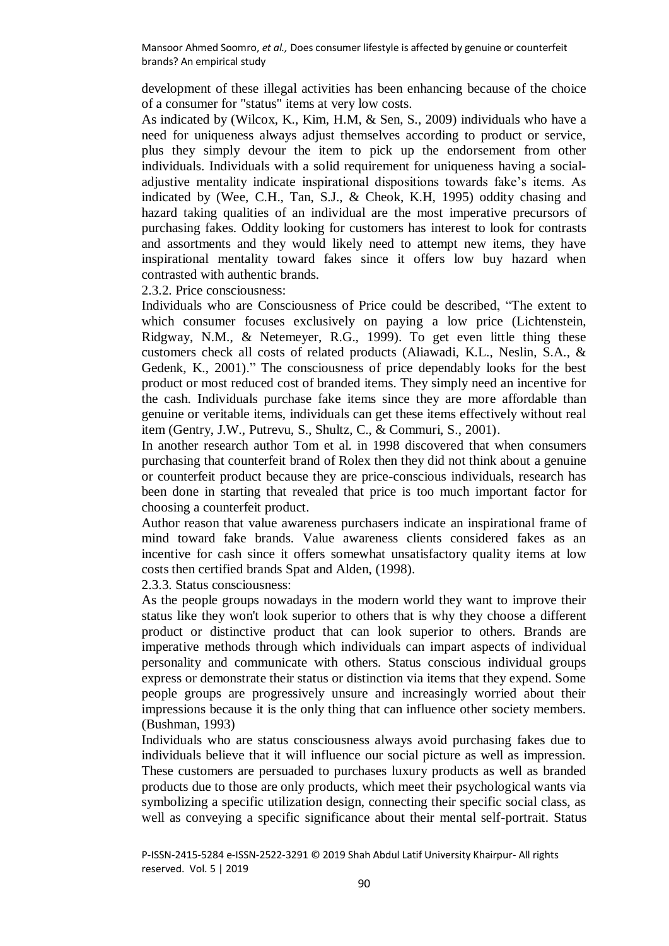development of these illegal activities has been enhancing because of the choice of a consumer for "status" items at very low costs.

As indicated by (Wilcox, K., Kim, H.M, & Sen, S., 2009) individuals who have a need for uniqueness always adjust themselves according to product or service, plus they simply devour the item to pick up the endorsement from other individuals. Individuals with a solid requirement for uniqueness having a socialadjustive mentality indicate inspirational dispositions towards fake's items. As indicated by (Wee, C.H., Tan, S.J., & Cheok, K.H, 1995) oddity chasing and hazard taking qualities of an individual are the most imperative precursors of purchasing fakes. Oddity looking for customers has interest to look for contrasts and assortments and they would likely need to attempt new items, they have inspirational mentality toward fakes since it offers low buy hazard when contrasted with authentic brands.

2.3.2. Price consciousness:

Individuals who are Consciousness of Price could be described, "The extent to which consumer focuses exclusively on paying a low price (Lichtenstein, Ridgway, N.M., & Netemeyer, R.G., 1999). To get even little thing these customers check all costs of related products (Aliawadi, K.L., Neslin, S.A., & Gedenk, K., 2001)." The consciousness of price dependably looks for the best product or most reduced cost of branded items. They simply need an incentive for the cash. Individuals purchase fake items since they are more affordable than genuine or veritable items, individuals can get these items effectively without real item (Gentry, J.W., Putrevu, S., Shultz, C., & Commuri, S., 2001).

In another research author Tom et al. in 1998 discovered that when consumers purchasing that counterfeit brand of Rolex then they did not think about a genuine or counterfeit product because they are price-conscious individuals, research has been done in starting that revealed that price is too much important factor for choosing a counterfeit product.

Author reason that value awareness purchasers indicate an inspirational frame of mind toward fake brands. Value awareness clients considered fakes as an incentive for cash since it offers somewhat unsatisfactory quality items at low costs then certified brands Spat and Alden, (1998).

2.3.3. Status consciousness:

As the people groups nowadays in the modern world they want to improve their status like they won't look superior to others that is why they choose a different product or distinctive product that can look superior to others. Brands are imperative methods through which individuals can impart aspects of individual personality and communicate with others. Status conscious individual groups express or demonstrate their status or distinction via items that they expend. Some people groups are progressively unsure and increasingly worried about their impressions because it is the only thing that can influence other society members. (Bushman, 1993)

Individuals who are status consciousness always avoid purchasing fakes due to individuals believe that it will influence our social picture as well as impression. These customers are persuaded to purchases luxury products as well as branded products due to those are only products, which meet their psychological wants via symbolizing a specific utilization design, connecting their specific social class, as well as conveying a specific significance about their mental self-portrait. Status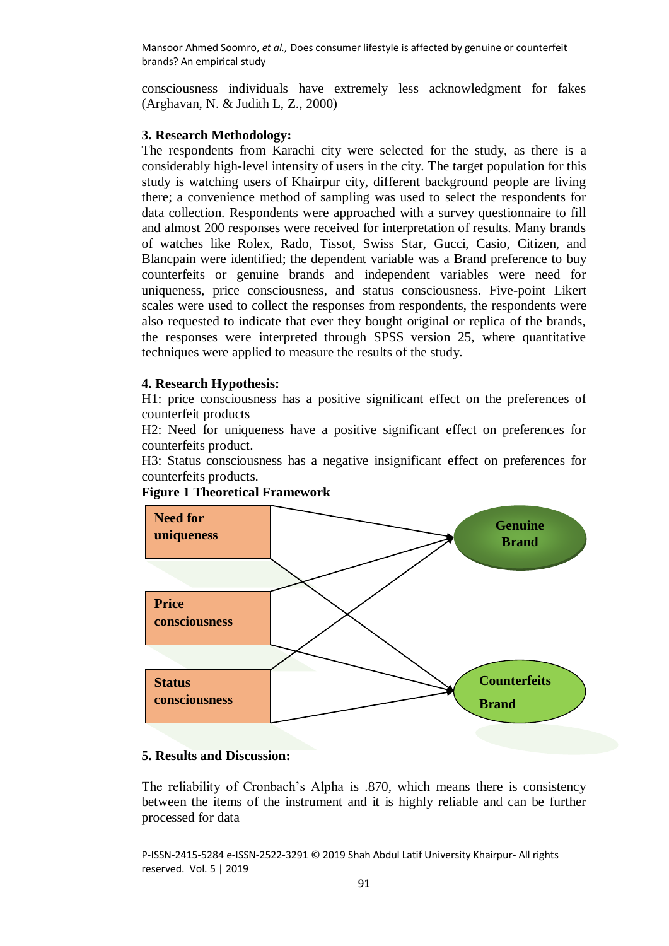consciousness individuals have extremely less acknowledgment for fakes (Arghavan, N. & Judith L, Z., 2000)

## **3. Research Methodology:**

The respondents from Karachi city were selected for the study, as there is a considerably high-level intensity of users in the city. The target population for this study is watching users of Khairpur city, different background people are living there; a convenience method of sampling was used to select the respondents for data collection. Respondents were approached with a survey questionnaire to fill and almost 200 responses were received for interpretation of results. Many brands of watches like Rolex, Rado, Tissot, Swiss Star, Gucci, Casio, Citizen, and Blancpain were identified; the dependent variable was a Brand preference to buy counterfeits or genuine brands and independent variables were need for uniqueness, price consciousness, and status consciousness. Five-point Likert scales were used to collect the responses from respondents, the respondents were also requested to indicate that ever they bought original or replica of the brands, the responses were interpreted through SPSS version 25, where quantitative techniques were applied to measure the results of the study.

## **4. Research Hypothesis:**

H1: price consciousness has a positive significant effect on the preferences of counterfeit products

H2: Need for uniqueness have a positive significant effect on preferences for counterfeits product.

H3: Status consciousness has a negative insignificant effect on preferences for counterfeits products.





# **5. Results and Discussion:**

The reliability of Cronbach's Alpha is .870, which means there is consistency between the items of the instrument and it is highly reliable and can be further processed for data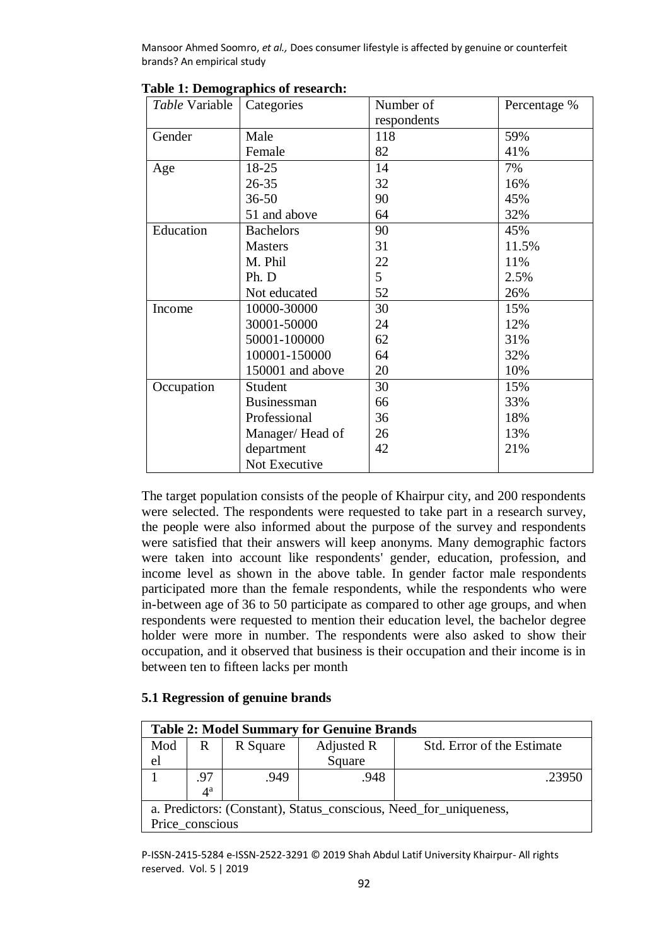| Table Variable | Categories         | Number of      | Percentage % |
|----------------|--------------------|----------------|--------------|
|                |                    | respondents    |              |
| Gender         | Male               | 118            | 59%          |
|                | Female             | 82             | 41%          |
| Age            | 18-25              | 14             | 7%           |
|                | $26 - 35$          | 32             | 16%          |
|                | $36 - 50$          | 90             | 45%          |
|                | 51 and above       | 64             | 32%          |
| Education      | <b>Bachelors</b>   | 90             | 45%          |
|                | <b>Masters</b>     | 31             | 11.5%        |
|                | M. Phil            | 22             | 11%          |
|                | Ph. D              | 5 <sup>5</sup> | 2.5%         |
|                | Not educated       | 52             | 26%          |
| Income         | 10000-30000        | 30             | 15%          |
|                | 30001-50000        | 24             | 12%          |
|                | 50001-100000       | 62             | 31%          |
|                | 100001-150000      | 64             | 32%          |
|                | 150001 and above   | 20             | 10%          |
| Occupation     | Student            | 30             | 15%          |
|                | <b>Businessman</b> | 66             | 33%          |
|                | Professional       | 36             | 18%          |
|                | Manager/Head of    | 26             | 13%          |
|                | department         | 42             | 21%          |
|                | Not Executive      |                |              |

**Table 1: Demographics of research:**

The target population consists of the people of Khairpur city, and 200 respondents were selected. The respondents were requested to take part in a research survey, the people were also informed about the purpose of the survey and respondents were satisfied that their answers will keep anonyms. Many demographic factors were taken into account like respondents' gender, education, profession, and income level as shown in the above table. In gender factor male respondents participated more than the female respondents, while the respondents who were in-between age of 36 to 50 participate as compared to other age groups, and when respondents were requested to mention their education level, the bachelor degree holder were more in number. The respondents were also asked to show their occupation, and it observed that business is their occupation and their income is in between ten to fifteen lacks per month

# **5.1 Regression of genuine brands**

| <b>Table 2: Model Summary for Genuine Brands</b>                  |                  |          |                                          |        |  |  |  |
|-------------------------------------------------------------------|------------------|----------|------------------------------------------|--------|--|--|--|
| Mod                                                               | R                | R Square | Adjusted R<br>Std. Error of the Estimate |        |  |  |  |
| el                                                                |                  |          | Square                                   |        |  |  |  |
|                                                                   | .97              | .949     | .948                                     | .23950 |  |  |  |
|                                                                   | $4^{\mathrm{a}}$ |          |                                          |        |  |  |  |
| a. Predictors: (Constant), Status_conscious, Need_for_uniqueness, |                  |          |                                          |        |  |  |  |
| Price conscious                                                   |                  |          |                                          |        |  |  |  |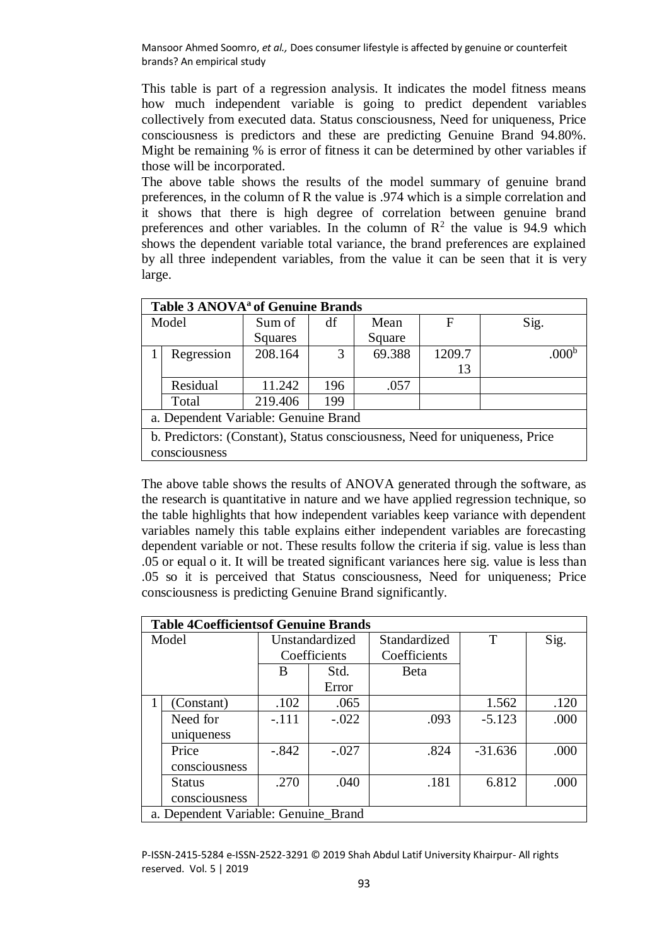This table is part of a regression analysis. It indicates the model fitness means how much independent variable is going to predict dependent variables collectively from executed data. Status consciousness, Need for uniqueness, Price consciousness is predictors and these are predicting Genuine Brand 94.80%. Might be remaining % is error of fitness it can be determined by other variables if those will be incorporated.

The above table shows the results of the model summary of genuine brand preferences, in the column of R the value is .974 which is a simple correlation and it shows that there is high degree of correlation between genuine brand preferences and other variables. In the column of  $\mathbb{R}^2$  the value is 94.9 which shows the dependent variable total variance, the brand preferences are explained by all three independent variables, from the value it can be seen that it is very large.

| Table 3 ANOVA <sup>a</sup> of Genuine Brands                                |            |         |     |        |        |                   |  |  |
|-----------------------------------------------------------------------------|------------|---------|-----|--------|--------|-------------------|--|--|
| Model                                                                       |            | Sum of  | df  | Mean   | F      | Sig.              |  |  |
|                                                                             |            | Squares |     | Square |        |                   |  |  |
|                                                                             | Regression | 208.164 | 3   | 69.388 | 1209.7 | .000 <sup>b</sup> |  |  |
|                                                                             |            |         |     |        | 13     |                   |  |  |
|                                                                             | Residual   | 11.242  | 196 | .057   |        |                   |  |  |
|                                                                             | Total      | 219.406 | 199 |        |        |                   |  |  |
| a. Dependent Variable: Genuine Brand                                        |            |         |     |        |        |                   |  |  |
| b. Predictors: (Constant), Status consciousness, Need for uniqueness, Price |            |         |     |        |        |                   |  |  |
| consciousness                                                               |            |         |     |        |        |                   |  |  |

The above table shows the results of ANOVA generated through the software, as the research is quantitative in nature and we have applied regression technique, so the table highlights that how independent variables keep variance with dependent variables namely this table explains either independent variables are forecasting dependent variable or not. These results follow the criteria if sig. value is less than .05 or equal o it. It will be treated significant variances here sig. value is less than .05 so it is perceived that Status consciousness, Need for uniqueness; Price consciousness is predicting Genuine Brand significantly.

|       | <b>Table 4Coefficientsof Genuine Brands</b> |                |         |              |           |      |  |  |  |
|-------|---------------------------------------------|----------------|---------|--------------|-----------|------|--|--|--|
| Model |                                             | Unstandardized |         | Standardized | T         | Sig. |  |  |  |
|       |                                             | Coefficients   |         | Coefficients |           |      |  |  |  |
|       |                                             | B              | Std.    | Beta         |           |      |  |  |  |
|       |                                             |                | Error   |              |           |      |  |  |  |
|       | (Constant)                                  | .102           | .065    |              | 1.562     | .120 |  |  |  |
|       | Need for                                    | $-.111$        | $-.022$ | .093         | $-5.123$  | .000 |  |  |  |
|       | uniqueness                                  |                |         |              |           |      |  |  |  |
|       | Price                                       | $-.842$        | $-.027$ | .824         | $-31.636$ | .000 |  |  |  |
|       | consciousness                               |                |         |              |           |      |  |  |  |
|       | <b>Status</b>                               | .270           | .040    | .181         | 6.812     | .000 |  |  |  |
|       | consciousness                               |                |         |              |           |      |  |  |  |
|       | a. Dependent Variable: Genuine_Brand        |                |         |              |           |      |  |  |  |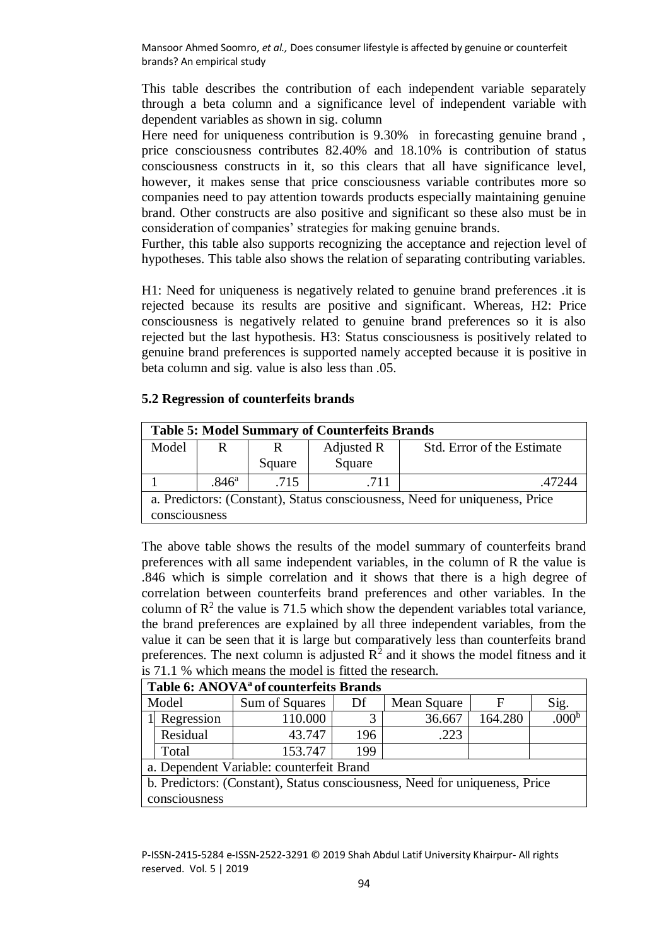This table describes the contribution of each independent variable separately through a beta column and a significance level of independent variable with dependent variables as shown in sig. column

Here need for uniqueness contribution is 9.30% in forecasting genuine brand, price consciousness contributes 82.40% and 18.10% is contribution of status consciousness constructs in it, so this clears that all have significance level, however, it makes sense that price consciousness variable contributes more so companies need to pay attention towards products especially maintaining genuine brand. Other constructs are also positive and significant so these also must be in consideration of companies' strategies for making genuine brands.

Further, this table also supports recognizing the acceptance and rejection level of hypotheses. This table also shows the relation of separating contributing variables.

H1: Need for uniqueness is negatively related to genuine brand preferences .it is rejected because its results are positive and significant. Whereas, H2: Price consciousness is negatively related to genuine brand preferences so it is also rejected but the last hypothesis. H3: Status consciousness is positively related to genuine brand preferences is supported namely accepted because it is positive in beta column and sig. value is also less than .05.

# **5.2 Regression of counterfeits brands**

| <b>Table 5: Model Summary of Counterfeits Brands</b>                                         |                   |        |            |                            |  |  |  |
|----------------------------------------------------------------------------------------------|-------------------|--------|------------|----------------------------|--|--|--|
| Model                                                                                        | R                 | R      | Adjusted R | Std. Error of the Estimate |  |  |  |
|                                                                                              |                   | Square | Square     |                            |  |  |  |
|                                                                                              | .846 <sup>a</sup> | .715   | .711       | 47244                      |  |  |  |
| a. Predictors: (Constant), Status consciousness, Need for uniqueness, Price<br>consciousness |                   |        |            |                            |  |  |  |

The above table shows the results of the model summary of counterfeits brand preferences with all same independent variables, in the column of R the value is .846 which is simple correlation and it shows that there is a high degree of correlation between counterfeits brand preferences and other variables. In the column of  $\mathbb{R}^2$  the value is 71.5 which show the dependent variables total variance, the brand preferences are explained by all three independent variables, from the value it can be seen that it is large but comparatively less than counterfeits brand preferences. The next column is adjusted  $\mathbb{R}^2$  and it shows the model fitness and it is 71.1 % which means the model is fitted the research.

| Table 6: ANOVA <sup>a</sup> of counterfeits Brands                          |                                          |                |     |             |         |                   |  |  |  |
|-----------------------------------------------------------------------------|------------------------------------------|----------------|-----|-------------|---------|-------------------|--|--|--|
|                                                                             | Model                                    | Sum of Squares | Df  | Mean Square | F       | Sig.              |  |  |  |
|                                                                             | Regression                               | 110.000        | 3   | 36.667      | 164.280 | .000 <sup>b</sup> |  |  |  |
|                                                                             | Residual                                 | 43.747         | 196 | .223        |         |                   |  |  |  |
|                                                                             | Total                                    | 153.747        | 199 |             |         |                   |  |  |  |
|                                                                             | a. Dependent Variable: counterfeit Brand |                |     |             |         |                   |  |  |  |
| b. Predictors: (Constant), Status consciousness, Need for uniqueness, Price |                                          |                |     |             |         |                   |  |  |  |
|                                                                             | consciousness                            |                |     |             |         |                   |  |  |  |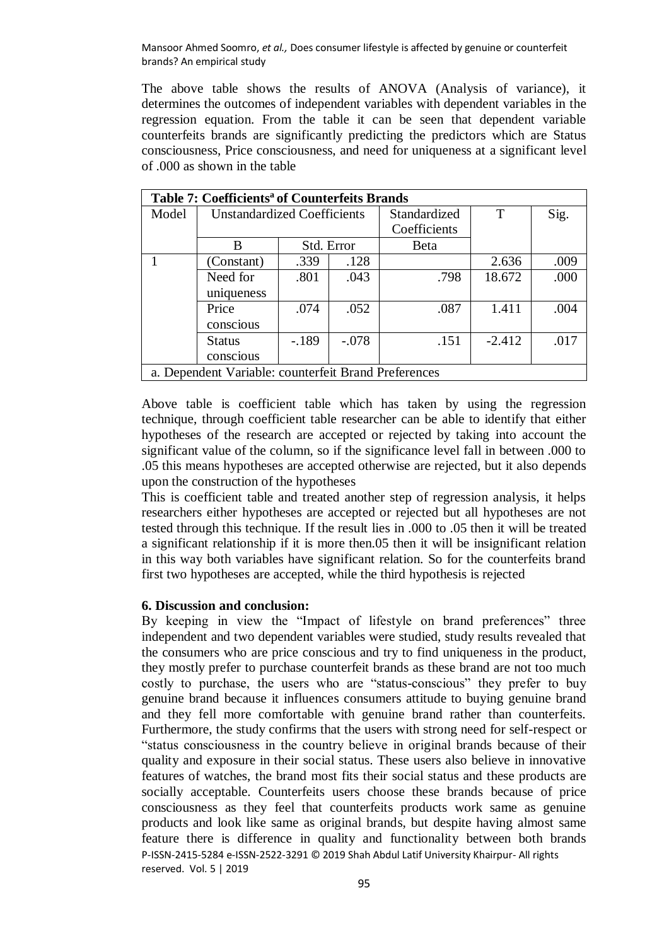The above table shows the results of ANOVA (Analysis of variance), it determines the outcomes of independent variables with dependent variables in the regression equation. From the table it can be seen that dependent variable counterfeits brands are significantly predicting the predictors which are Status consciousness, Price consciousness, and need for uniqueness at a significant level of .000 as shown in the table

| Table 7: Coefficients <sup>a</sup> of Counterfeits Brands |                                    |            |         |              |          |      |  |  |
|-----------------------------------------------------------|------------------------------------|------------|---------|--------------|----------|------|--|--|
| Model                                                     | <b>Unstandardized Coefficients</b> |            |         | Standardized | T        | Sig. |  |  |
|                                                           |                                    |            |         | Coefficients |          |      |  |  |
|                                                           | B                                  | Std. Error |         | Beta         |          |      |  |  |
|                                                           | (Constant)                         | .339       | .128    |              | 2.636    | .009 |  |  |
|                                                           | Need for                           | .801       | .043    | .798         | 18.672   | .000 |  |  |
|                                                           | uniqueness                         |            |         |              |          |      |  |  |
|                                                           | Price                              | .074       | .052    | .087         | 1.411    | .004 |  |  |
|                                                           | conscious                          |            |         |              |          |      |  |  |
|                                                           | <b>Status</b>                      | $-.189$    | $-.078$ | .151         | $-2.412$ | .017 |  |  |
|                                                           | conscious                          |            |         |              |          |      |  |  |
| a. Dependent Variable: counterfeit Brand Preferences      |                                    |            |         |              |          |      |  |  |

Above table is coefficient table which has taken by using the regression technique, through coefficient table researcher can be able to identify that either hypotheses of the research are accepted or rejected by taking into account the significant value of the column, so if the significance level fall in between .000 to .05 this means hypotheses are accepted otherwise are rejected, but it also depends upon the construction of the hypotheses

This is coefficient table and treated another step of regression analysis, it helps researchers either hypotheses are accepted or rejected but all hypotheses are not tested through this technique. If the result lies in .000 to .05 then it will be treated a significant relationship if it is more then.05 then it will be insignificant relation in this way both variables have significant relation. So for the counterfeits brand first two hypotheses are accepted, while the third hypothesis is rejected

## **6. Discussion and conclusion:**

P-ISSN-2415-5284 e-ISSN-2522-3291 © 2019 Shah Abdul Latif University Khairpur- All rights reserved. Vol. 5 | 2019 By keeping in view the "Impact of lifestyle on brand preferences" three independent and two dependent variables were studied, study results revealed that the consumers who are price conscious and try to find uniqueness in the product, they mostly prefer to purchase counterfeit brands as these brand are not too much costly to purchase, the users who are "status-conscious" they prefer to buy genuine brand because it influences consumers attitude to buying genuine brand and they fell more comfortable with genuine brand rather than counterfeits. Furthermore, the study confirms that the users with strong need for self-respect or "status consciousness in the country believe in original brands because of their quality and exposure in their social status. These users also believe in innovative features of watches, the brand most fits their social status and these products are socially acceptable. Counterfeits users choose these brands because of price consciousness as they feel that counterfeits products work same as genuine products and look like same as original brands, but despite having almost same feature there is difference in quality and functionality between both brands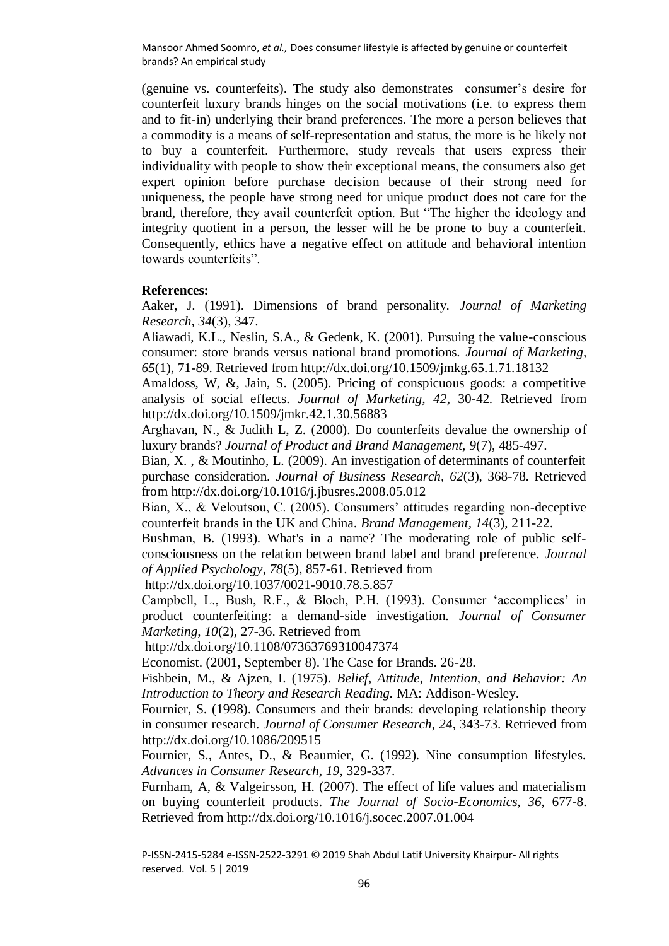(genuine vs. counterfeits). The study also demonstrates consumer's desire for counterfeit luxury brands hinges on the social motivations (i.e. to express them and to fit-in) underlying their brand preferences. The more a person believes that a commodity is a means of self-representation and status, the more is he likely not to buy a counterfeit. Furthermore, study reveals that users express their individuality with people to show their exceptional means, the consumers also get expert opinion before purchase decision because of their strong need for uniqueness, the people have strong need for unique product does not care for the brand, therefore, they avail counterfeit option. But "The higher the ideology and integrity quotient in a person, the lesser will he be prone to buy a counterfeit. Consequently, ethics have a negative effect on attitude and behavioral intention towards counterfeits".

### **References:**

Aaker, J. (1991). Dimensions of brand personality. *Journal of Marketing Research, 34*(3), 347.

Aliawadi, K.L., Neslin, S.A., & Gedenk, K. (2001). Pursuing the value-conscious consumer: store brands versus national brand promotions. *Journal of Marketing, 65*(1), 71-89. Retrieved from http://dx.doi.org/10.1509/jmkg.65.1.71.18132

Amaldoss, W, &, Jain, S. (2005). Pricing of conspicuous goods: a competitive analysis of social effects. *Journal of Marketing, 42*, 30-42. Retrieved from http://dx.doi.org/10.1509/jmkr.42.1.30.56883

Arghavan, N., & Judith L, Z. (2000). Do counterfeits devalue the ownership of luxury brands? *Journal of Product and Brand Management, 9*(7), 485-497.

Bian, X. , & Moutinho, L. (2009). An investigation of determinants of counterfeit purchase consideration. *Journal of Business Research, 62*(3), 368-78. Retrieved from http://dx.doi.org/10.1016/j.jbusres.2008.05.012

Bian, X., & Veloutsou, C. (2005). Consumers' attitudes regarding non-deceptive counterfeit brands in the UK and China. *Brand Management, 14*(3), 211-22.

Bushman, B. (1993). What's in a name? The moderating role of public selfconsciousness on the relation between brand label and brand preference. *Journal of Applied Psychology, 78*(5), 857-61. Retrieved from

http://dx.doi.org/10.1037/0021-9010.78.5.857

Campbell, L., Bush, R.F., & Bloch, P.H. (1993). Consumer 'accomplices' in product counterfeiting: a demand-side investigation. *Journal of Consumer Marketing, 10*(2), 27-36. Retrieved from

http://dx.doi.org/10.1108/07363769310047374

Economist. (2001, September 8). The Case for Brands. 26-28.

Fishbein, M., & Ajzen, I. (1975). *Belief, Attitude, Intention, and Behavior: An Introduction to Theory and Research Reading.* MA: Addison-Wesley.

Fournier, S. (1998). Consumers and their brands: developing relationship theory in consumer research. *Journal of Consumer Research, 24*, 343-73. Retrieved from http://dx.doi.org/10.1086/209515

Fournier, S., Antes, D., & Beaumier, G. (1992). Nine consumption lifestyles. *Advances in Consumer Research, 19*, 329-337.

Furnham, A, & Valgeirsson, H. (2007). The effect of life values and materialism on buying counterfeit products. *The Journal of Socio-Economics, 36*, 677-8. Retrieved from http://dx.doi.org/10.1016/j.socec.2007.01.004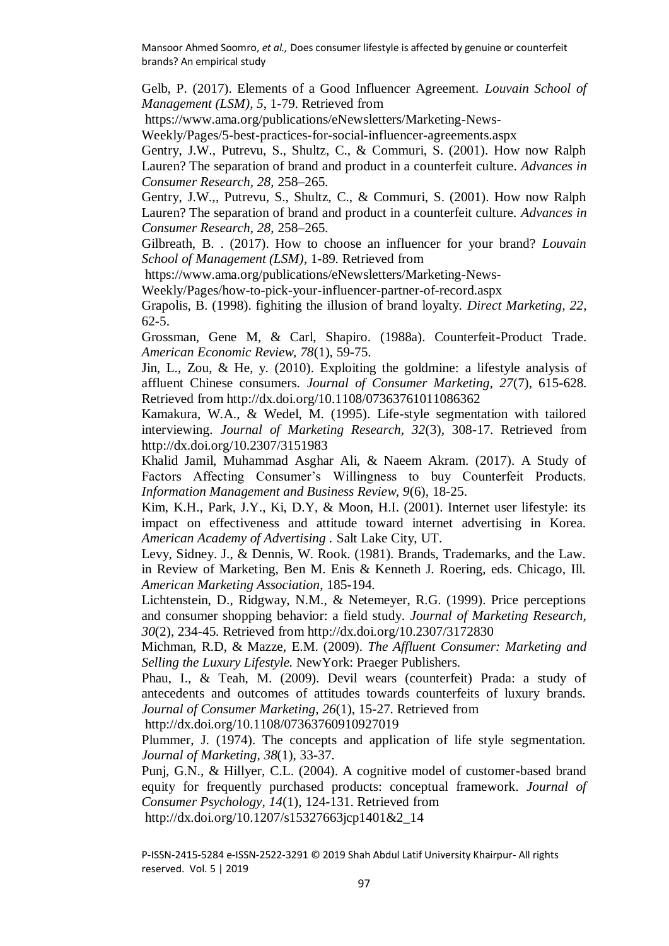Gelb, P. (2017). Elements of a Good Influencer Agreement. *Louvain School of Management (LSM), 5*, 1-79. Retrieved from

https://www.ama.org/publications/eNewsletters/Marketing-News-

Weekly/Pages/5-best-practices-for-social-influencer-agreements.aspx

Gentry, J.W., Putrevu, S., Shultz, C., & Commuri, S. (2001). How now Ralph Lauren? The separation of brand and product in a counterfeit culture. *Advances in Consumer Research, 28*, 258–265.

Gentry, J.W.,, Putrevu, S., Shultz, C., & Commuri, S. (2001). How now Ralph Lauren? The separation of brand and product in a counterfeit culture. *Advances in Consumer Research, 28*, 258–265.

Gilbreath, B. . (2017). How to choose an influencer for your brand? *Louvain School of Management (LSM)*, 1-89. Retrieved from

https://www.ama.org/publications/eNewsletters/Marketing-News-

Weekly/Pages/how-to-pick-your-influencer-partner-of-record.aspx

Grapolis, B. (1998). fighiting the illusion of brand loyalty. *Direct Marketing, 22*, 62-5.

Grossman, Gene M, & Carl, Shapiro. (1988a). Counterfeit-Product Trade. *American Economic Review, 78*(1), 59-75.

Jin, L., Zou, & He, y. (2010). Exploiting the goldmine: a lifestyle analysis of affluent Chinese consumers. *Journal of Consumer Marketing, 27*(7), 615-628. Retrieved from http://dx.doi.org/10.1108/07363761011086362

Kamakura, W.A., & Wedel, M. (1995). Life-style segmentation with tailored interviewing. *Journal of Marketing Research, 32*(3), 308-17. Retrieved from http://dx.doi.org/10.2307/3151983

Khalid Jamil, Muhammad Asghar Ali, & Naeem Akram. (2017). A Study of Factors Affecting Consumer's Willingness to buy Counterfeit Products. *Information Management and Business Review, 9*(6), 18-25.

Kim, K.H., Park, J.Y., Ki, D.Y, & Moon, H.I. (2001). Internet user lifestyle: its impact on effectiveness and attitude toward internet advertising in Korea. *American Academy of Advertising .* Salt Lake City, UT.

Levy, Sidney. J., & Dennis, W. Rook. (1981). Brands, Trademarks, and the Law. in Review of Marketing, Ben M. Enis & Kenneth J. Roering, eds. Chicago, Ill. *American Marketing Association*, 185-194.

Lichtenstein, D., Ridgway, N.M., & Netemeyer, R.G. (1999). Price perceptions and consumer shopping behavior: a field study. *Journal of Marketing Research, 30*(2), 234-45. Retrieved from http://dx.doi.org/10.2307/3172830

Michman, R.D, & Mazze, E.M. (2009). *The Affluent Consumer: Marketing and Selling the Luxury Lifestyle.* NewYork: Praeger Publishers.

Phau, I., & Teah, M. (2009). Devil wears (counterfeit) Prada: a study of antecedents and outcomes of attitudes towards counterfeits of luxury brands. *Journal of Consumer Marketing, 26*(1), 15-27. Retrieved from

http://dx.doi.org/10.1108/07363760910927019

Plummer, J. (1974). The concepts and application of life style segmentation. *Journal of Marketing, 38*(1), 33-37.

Punj, G.N., & Hillyer, C.L. (2004). A cognitive model of customer-based brand equity for frequently purchased products: conceptual framework. *Journal of Consumer Psychology, 14*(1), 124-131. Retrieved from http://dx.doi.org/10.1207/s15327663jcp1401&2\_14